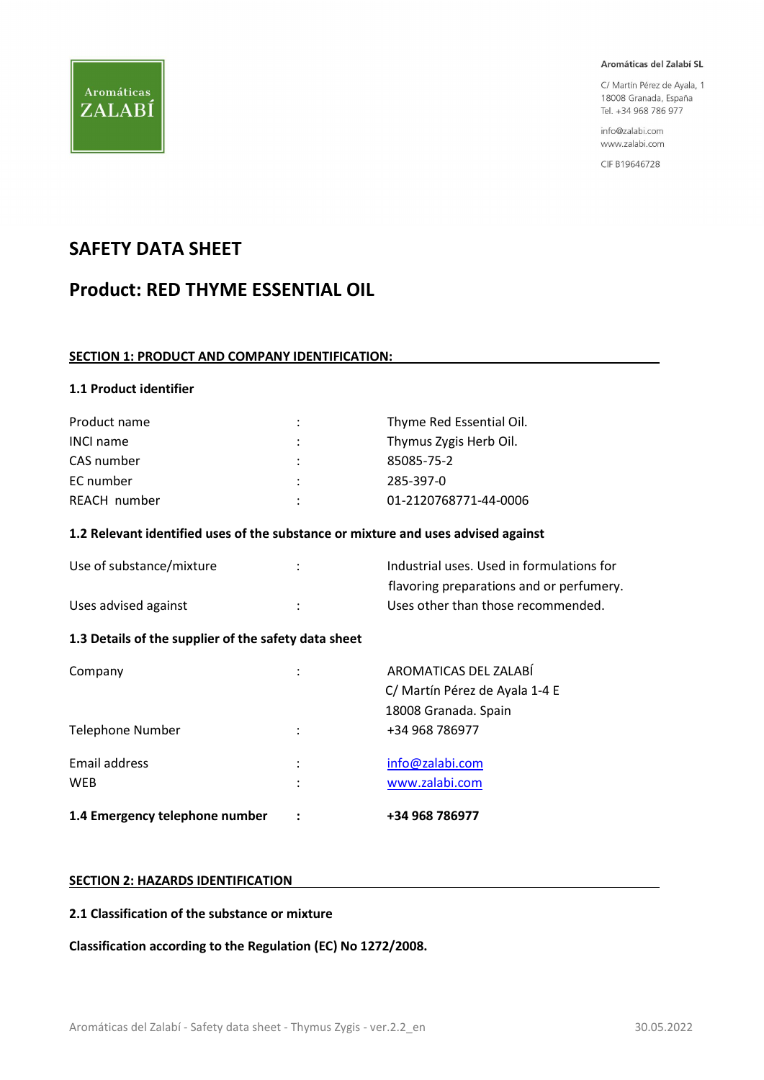

C/ Martín Pérez de Ayala, 1 18008 Granada, España Tel. +34 968 786 977

info@zalabi.com www.zalabi.com

CIF B19646728

## SAFETY DATA SHEET

# Product: RED THYME ESSENTIAL OIL

#### SECTION 1: PRODUCT AND COMPANY IDENTIFICATION:

#### 1.1 Product identifier

| Product name     |                      | Thyme Red Essential Oil. |
|------------------|----------------------|--------------------------|
| <b>INCI name</b> | ÷                    | Thymus Zygis Herb Oil.   |
| CAS number       | $\ddot{\phantom{0}}$ | 85085-75-2               |
| EC number        | ٠                    | 285-397-0                |
| REACH number     | ٠                    | 01-2120768771-44-0006    |

#### 1.2 Relevant identified uses of the substance or mixture and uses advised against

Industrial uses. Used in formulations for flavoring preparations and or perfumery.

| Use of substance/mixture |  |
|--------------------------|--|
|                          |  |

# Uses advised against **intervalled** in the Uses other than those recommended.

#### 1.3 Details of the supplier of the safety data sheet

| 1.4 Emergency telephone number |                     | +34 968 786977                                                                  |
|--------------------------------|---------------------|---------------------------------------------------------------------------------|
| Email address<br><b>WEB</b>    | :<br>$\ddot{\cdot}$ | info@zalabi.com<br>www.zalabi.com                                               |
| Telephone Number               | ٠                   | +34 968 786977                                                                  |
| Company                        |                     | AROMATICAS DEL ZALABÍ<br>C/ Martín Pérez de Ayala 1-4 E<br>18008 Granada. Spain |

#### SECTION 2: HAZARDS IDENTIFICATION

#### 2.1 Classification of the substance or mixture

Classification according to the Regulation (EC) No 1272/2008.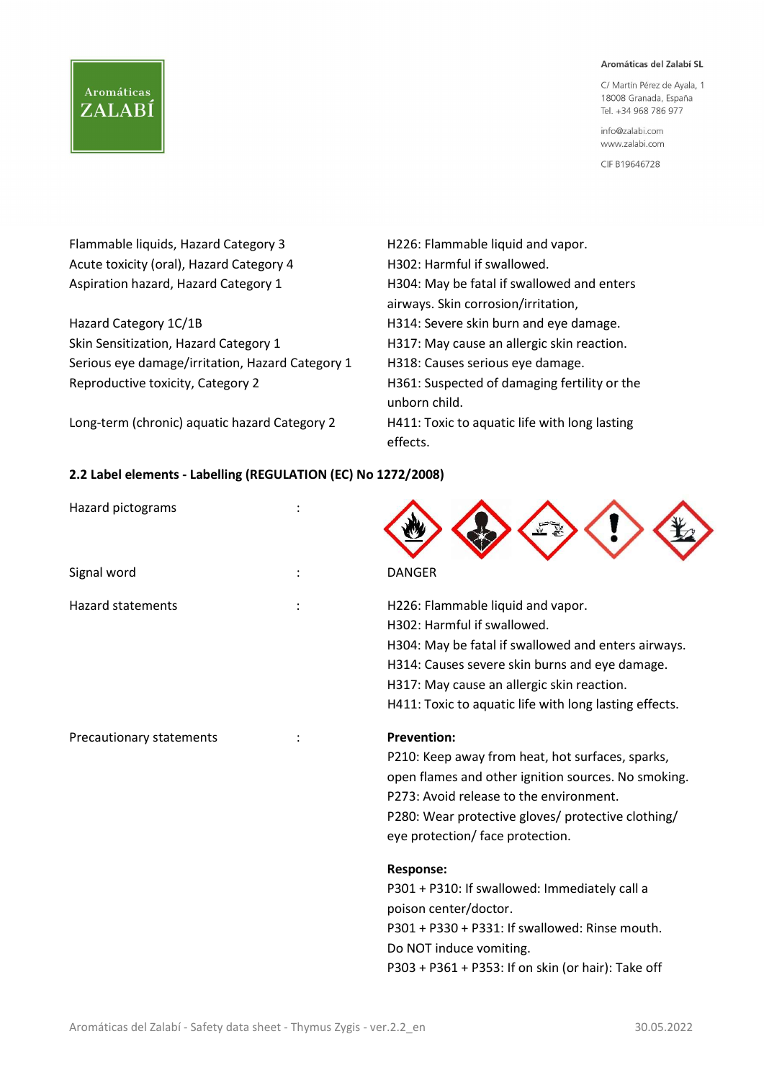#### Aromáticas del Zalabí SL

C/ Martín Pérez de Ayala, 1 18008 Granada, España Tel. +34 968 786 977

info@zalabi.com www.zalabi.com

CIF B19646728

| Flammable liquids, Hazard Category 3             | H226: Flammable liquid and vapor.                             |
|--------------------------------------------------|---------------------------------------------------------------|
| Acute toxicity (oral), Hazard Category 4         | H302: Harmful if swallowed.                                   |
| Aspiration hazard, Hazard Category 1             | H304: May be fatal if swallowed and enters                    |
|                                                  | airways. Skin corrosion/irritation,                           |
| Hazard Category 1C/1B                            | H314: Severe skin burn and eye damage.                        |
| Skin Sensitization, Hazard Category 1            | H317: May cause an allergic skin reaction.                    |
| Serious eye damage/irritation, Hazard Category 1 | H318: Causes serious eye damage.                              |
| Reproductive toxicity, Category 2                | H361: Suspected of damaging fertility or the<br>unborn child. |
| Long-term (chronic) aquatic hazard Category 2    | H411: Toxic to aquatic life with long lasting<br>effects.     |

### 2.2 Label elements - Labelling (REGULATION (EC) No 1272/2008)

| Hazard pictograms        |                                                                                                                                                                                                                                                                                   |
|--------------------------|-----------------------------------------------------------------------------------------------------------------------------------------------------------------------------------------------------------------------------------------------------------------------------------|
| Signal word              | <b>DANGER</b>                                                                                                                                                                                                                                                                     |
| <b>Hazard statements</b> | H226: Flammable liquid and vapor.<br>H302: Harmful if swallowed.<br>H304: May be fatal if swallowed and enters airways.<br>H314: Causes severe skin burns and eye damage.<br>H317: May cause an allergic skin reaction.<br>H411: Toxic to aquatic life with long lasting effects. |
| Precautionary statements | <b>Prevention:</b><br>P210: Keep away from heat, hot surfaces, sparks,<br>open flames and other ignition sources. No smoking.<br>P273: Avoid release to the environment.<br>P280: Wear protective gloves/ protective clothing/<br>eye protection/ face protection.                |
|                          | <b>Response:</b><br>P301 + P310: If swallowed: Immediately call a<br>poison center/doctor.<br>P301 + P330 + P331: If swallowed: Rinse mouth.<br>Do NOT induce vomiting.<br>P303 + P361 + P353: If on skin (or hair): Take off                                                     |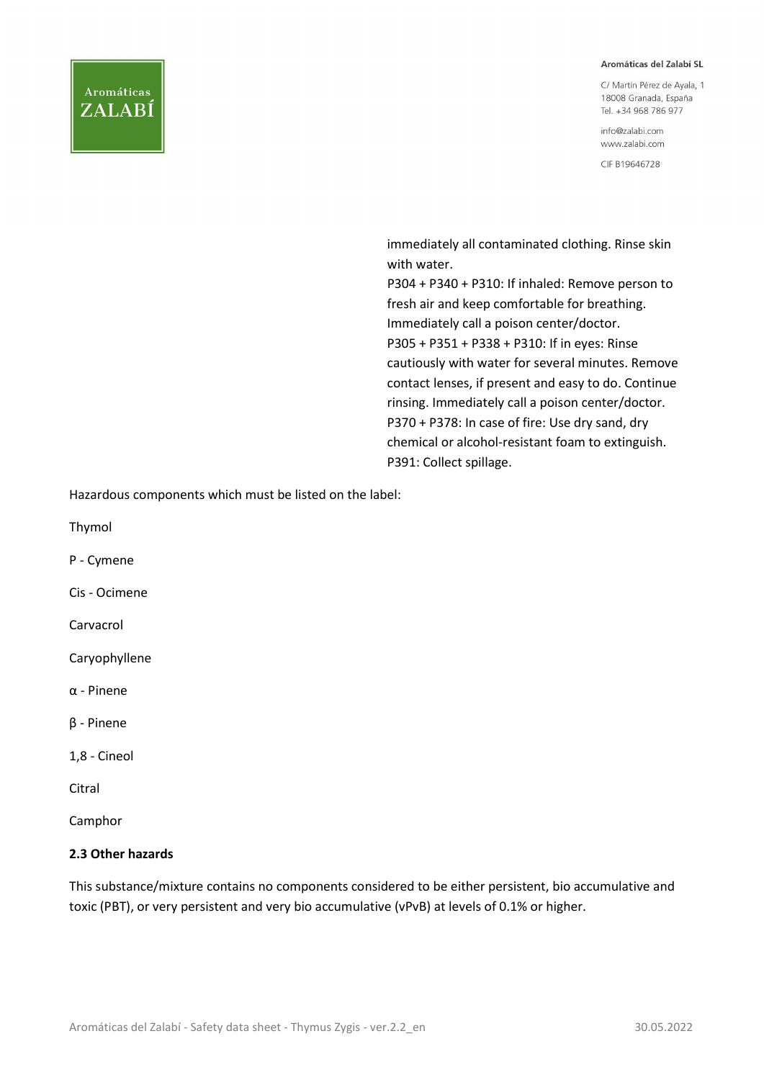#### Aromáticas del Zalabí SL

C/ Martín Pérez de Ayala, 1 18008 Granada, España Tel. +34 968 786 977

info@zalabi.com www.zalabi.com

CIF B19646728

 immediately all contaminated clothing. Rinse skin with water.

 P304 + P340 + P310: If inhaled: Remove person to fresh air and keep comfortable for breathing. Immediately call a poison center/doctor. P305 + P351 + P338 + P310: If in eyes: Rinse cautiously with water for several minutes. Remove contact lenses, if present and easy to do. Continue rinsing. Immediately call a poison center/doctor. P370 + P378: In case of fire: Use dry sand, dry chemical or alcohol-resistant foam to extinguish. P391: Collect spillage.

Hazardous components which must be listed on the label:

Thymol

P - Cymene

Cis - Ocimene

Carvacrol

Caryophyllene

α - Pinene

β - Pinene

1,8 - Cineol

Citral

Camphor

#### 2.3 Other hazards

This substance/mixture contains no components considered to be either persistent, bio accumulative and toxic (PBT), or very persistent and very bio accumulative (vPvB) at levels of 0.1% or higher.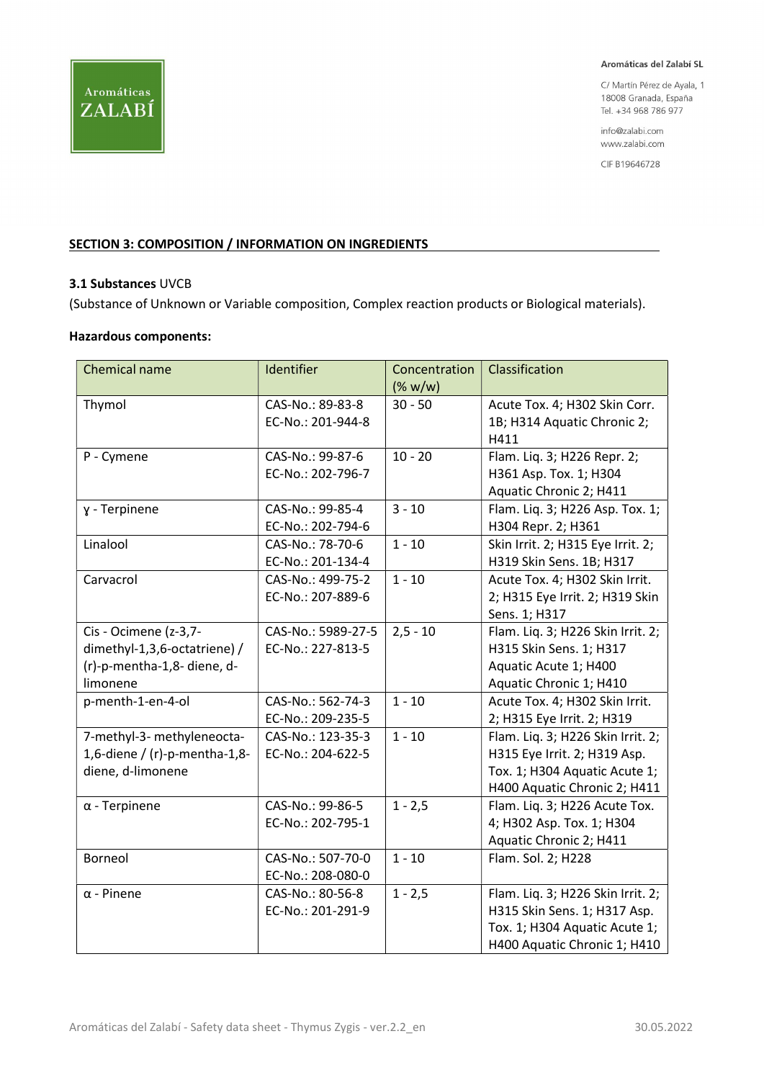

C/ Martín Pérez de Ayala, 1 18008 Granada, España Tel. +34 968 786 977

info@zalabi.com www.zalabi.com

CIF B19646728

#### SECTION 3: COMPOSITION / INFORMATION ON INGREDIENTS

#### 3.1 Substances UVCB

(Substance of Unknown or Variable composition, Complex reaction products or Biological materials).

#### Hazardous components:

| <b>Chemical name</b>                                                                             | Identifier                              | Concentration<br>(% w/w) | Classification                                                                                                                     |
|--------------------------------------------------------------------------------------------------|-----------------------------------------|--------------------------|------------------------------------------------------------------------------------------------------------------------------------|
| Thymol                                                                                           | CAS-No.: 89-83-8<br>EC-No.: 201-944-8   | $30 - 50$                | Acute Tox. 4; H302 Skin Corr.<br>1B; H314 Aquatic Chronic 2;<br>H411                                                               |
| P - Cymene                                                                                       | CAS-No.: 99-87-6<br>EC-No.: 202-796-7   | $10 - 20$                | Flam. Liq. 3; H226 Repr. 2;<br>H361 Asp. Tox. 1; H304<br>Aquatic Chronic 2; H411                                                   |
| y - Terpinene                                                                                    | CAS-No.: 99-85-4<br>EC-No.: 202-794-6   | $3 - 10$                 | Flam. Liq. 3; H226 Asp. Tox. 1;<br>H304 Repr. 2; H361                                                                              |
| Linalool                                                                                         | CAS-No.: 78-70-6<br>EC-No.: 201-134-4   | $1 - 10$                 | Skin Irrit. 2; H315 Eye Irrit. 2;<br>H319 Skin Sens. 1B; H317                                                                      |
| Carvacrol                                                                                        | CAS-No.: 499-75-2<br>EC-No.: 207-889-6  | $1 - 10$                 | Acute Tox. 4; H302 Skin Irrit.<br>2; H315 Eye Irrit. 2; H319 Skin<br>Sens. 1; H317                                                 |
| Cis - Ocimene (z-3,7-<br>dimethyl-1,3,6-octatriene) /<br>(r)-p-mentha-1,8- diene, d-<br>limonene | CAS-No.: 5989-27-5<br>EC-No.: 227-813-5 | $2,5 - 10$               | Flam. Liq. 3; H226 Skin Irrit. 2;<br>H315 Skin Sens. 1; H317<br>Aquatic Acute 1; H400<br>Aquatic Chronic 1; H410                   |
| p-menth-1-en-4-ol                                                                                | CAS-No.: 562-74-3<br>EC-No.: 209-235-5  | $1 - 10$                 | Acute Tox. 4; H302 Skin Irrit.<br>2; H315 Eye Irrit. 2; H319                                                                       |
| 7-methyl-3- methyleneocta-<br>1,6-diene / (r)-p-mentha-1,8-<br>diene, d-limonene                 | CAS-No.: 123-35-3<br>EC-No.: 204-622-5  | $1 - 10$                 | Flam. Liq. 3; H226 Skin Irrit. 2;<br>H315 Eye Irrit. 2; H319 Asp.<br>Tox. 1; H304 Aquatic Acute 1;<br>H400 Aquatic Chronic 2; H411 |
| $\alpha$ - Terpinene                                                                             | CAS-No.: 99-86-5<br>EC-No.: 202-795-1   | $1 - 2,5$                | Flam. Liq. 3; H226 Acute Tox.<br>4; H302 Asp. Tox. 1; H304<br>Aquatic Chronic 2; H411                                              |
| Borneol                                                                                          | CAS-No.: 507-70-0<br>EC-No.: 208-080-0  | $1 - 10$                 | Flam. Sol. 2; H228                                                                                                                 |
| $\alpha$ - Pinene                                                                                | CAS-No.: 80-56-8<br>EC-No.: 201-291-9   | $1 - 2,5$                | Flam. Liq. 3; H226 Skin Irrit. 2;<br>H315 Skin Sens. 1; H317 Asp.<br>Tox. 1; H304 Aquatic Acute 1;<br>H400 Aquatic Chronic 1; H410 |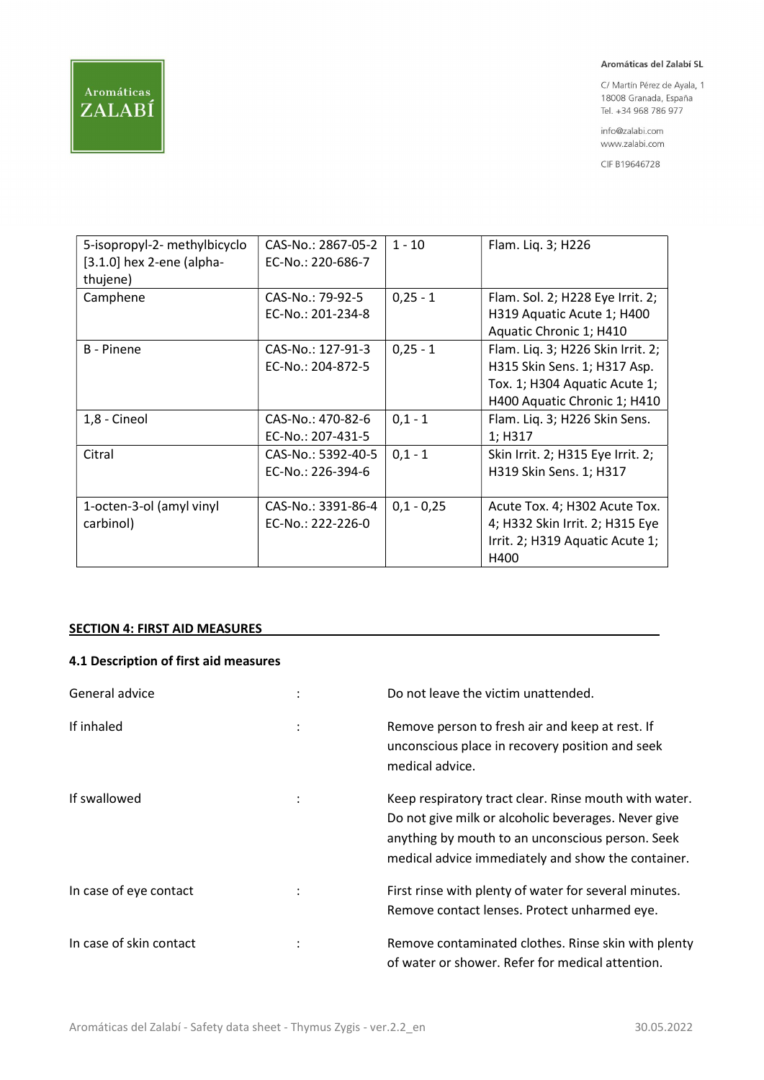C/ Martín Pérez de Ayala, 1 18008 Granada, España Tel. +34 968 786 977

info@zalabi.com www.zalabi.com

CIF B19646728

| 5-isopropyl-2- methylbicyclo<br>$[3.1.0]$ hex 2-ene (alpha-<br>thujene) | CAS-No.: 2867-05-2<br>EC-No.: 220-686-7 | $1 - 10$     | Flam. Liq. 3; H226                                                                                                                 |
|-------------------------------------------------------------------------|-----------------------------------------|--------------|------------------------------------------------------------------------------------------------------------------------------------|
| Camphene                                                                | CAS-No.: 79-92-5<br>EC-No.: 201-234-8   | $0,25 - 1$   | Flam. Sol. 2; H228 Eye Irrit. 2;<br>H319 Aquatic Acute 1; H400<br>Aquatic Chronic 1; H410                                          |
| B - Pinene                                                              | CAS-No.: 127-91-3<br>EC-No.: 204-872-5  | $0,25 - 1$   | Flam. Liq. 3; H226 Skin Irrit. 2;<br>H315 Skin Sens. 1; H317 Asp.<br>Tox. 1; H304 Aquatic Acute 1;<br>H400 Aquatic Chronic 1; H410 |
| 1,8 - Cineol                                                            | CAS-No.: 470-82-6<br>EC-No.: 207-431-5  | $0,1 - 1$    | Flam. Liq. 3; H226 Skin Sens.<br>1; H317                                                                                           |
| Citral                                                                  | CAS-No.: 5392-40-5<br>EC-No.: 226-394-6 | $0,1 - 1$    | Skin Irrit. 2; H315 Eye Irrit. 2;<br>H319 Skin Sens. 1; H317                                                                       |
| 1-octen-3-ol (amyl vinyl<br>carbinol)                                   | CAS-No.: 3391-86-4<br>EC-No.: 222-226-0 | $0,1 - 0,25$ | Acute Tox. 4; H302 Acute Tox.<br>4; H332 Skin Irrit. 2; H315 Eye<br>Irrit. 2; H319 Aquatic Acute 1;<br>H400                        |

#### SECTION 4: FIRST AID MEASURES

#### 4.1 Description of first aid measures

| General advice          | $\ddot{\phantom{a}}$ | Do not leave the victim unattended.                                                                                                                                                                                    |
|-------------------------|----------------------|------------------------------------------------------------------------------------------------------------------------------------------------------------------------------------------------------------------------|
| If inhaled              | $\ddot{\cdot}$       | Remove person to fresh air and keep at rest. If<br>unconscious place in recovery position and seek<br>medical advice.                                                                                                  |
| If swallowed            |                      | Keep respiratory tract clear. Rinse mouth with water.<br>Do not give milk or alcoholic beverages. Never give<br>anything by mouth to an unconscious person. Seek<br>medical advice immediately and show the container. |
| In case of eye contact  |                      | First rinse with plenty of water for several minutes.<br>Remove contact lenses. Protect unharmed eye.                                                                                                                  |
| In case of skin contact | ٠                    | Remove contaminated clothes. Rinse skin with plenty<br>of water or shower. Refer for medical attention.                                                                                                                |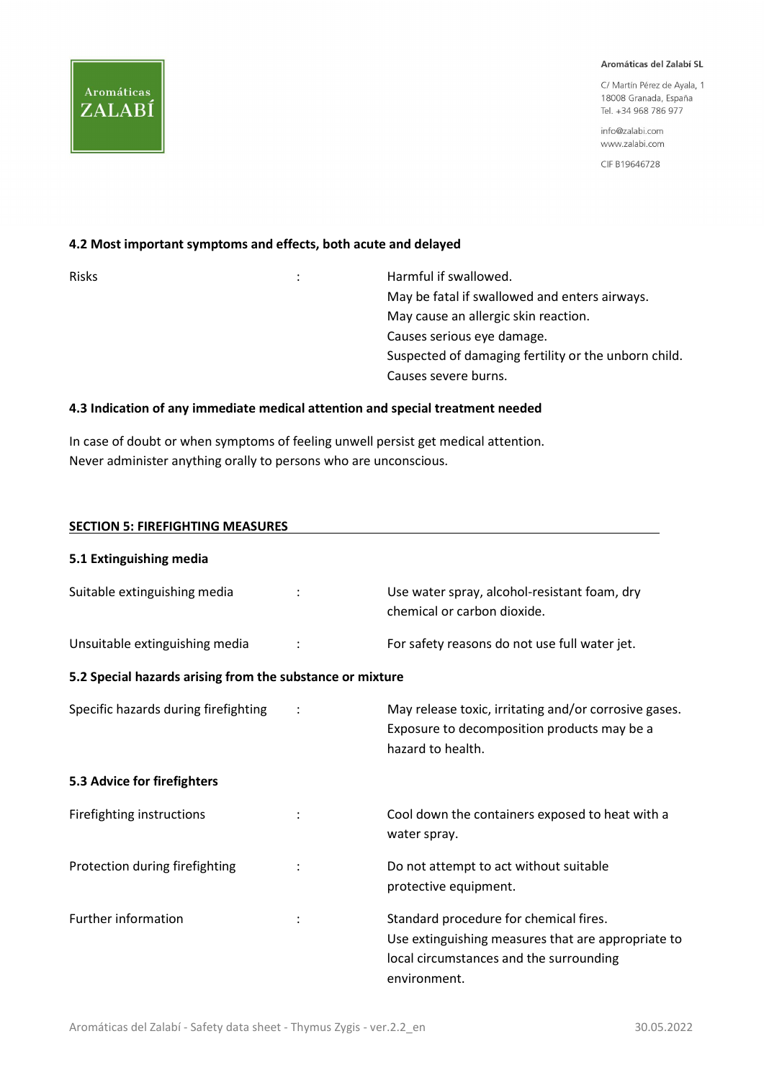C/ Martín Pérez de Avala 1 18008 Granada, España Tel. +34 968 786 977

info@zalabi.com www.zalabi.com

CIF B19646728

#### 4.2 Most important symptoms and effects, both acute and delayed

**Aromáticas** 

ZALABÍ

| <b>Risks</b> | Harmful if swallowed.                                |
|--------------|------------------------------------------------------|
|              | May be fatal if swallowed and enters airways.        |
|              | May cause an allergic skin reaction.                 |
|              | Causes serious eye damage.                           |
|              | Suspected of damaging fertility or the unborn child. |
|              | Causes severe burns.                                 |
|              |                                                      |

#### 4.3 Indication of any immediate medical attention and special treatment needed

In case of doubt or when symptoms of feeling unwell persist get medical attention. Never administer anything orally to persons who are unconscious.

# SECTION 5: FIREFIGHTING MEASURES 5.1 Extinguishing media Suitable extinguishing media : The Suitable extinguishing media in the state of the Use water spray, alcohol-resistant foam, dry chemical or carbon dioxide. Unsuitable extinguishing media : For safety reasons do not use full water jet. 5.2 Special hazards arising from the substance or mixture Specific hazards during firefighting : The May release toxic, irritating and/or corrosive gases. Exposure to decomposition products may be a hazard to health. 5.3 Advice for firefighters Firefighting instructions  $\cdot$  : Cool down the containers exposed to heat with a water spray. Protection during firefighting : Do not attempt to act without suitable protective equipment. Further information  $\cdot$  : Standard procedure for chemical fires. Use extinguishing measures that are appropriate to local circumstances and the surrounding environment.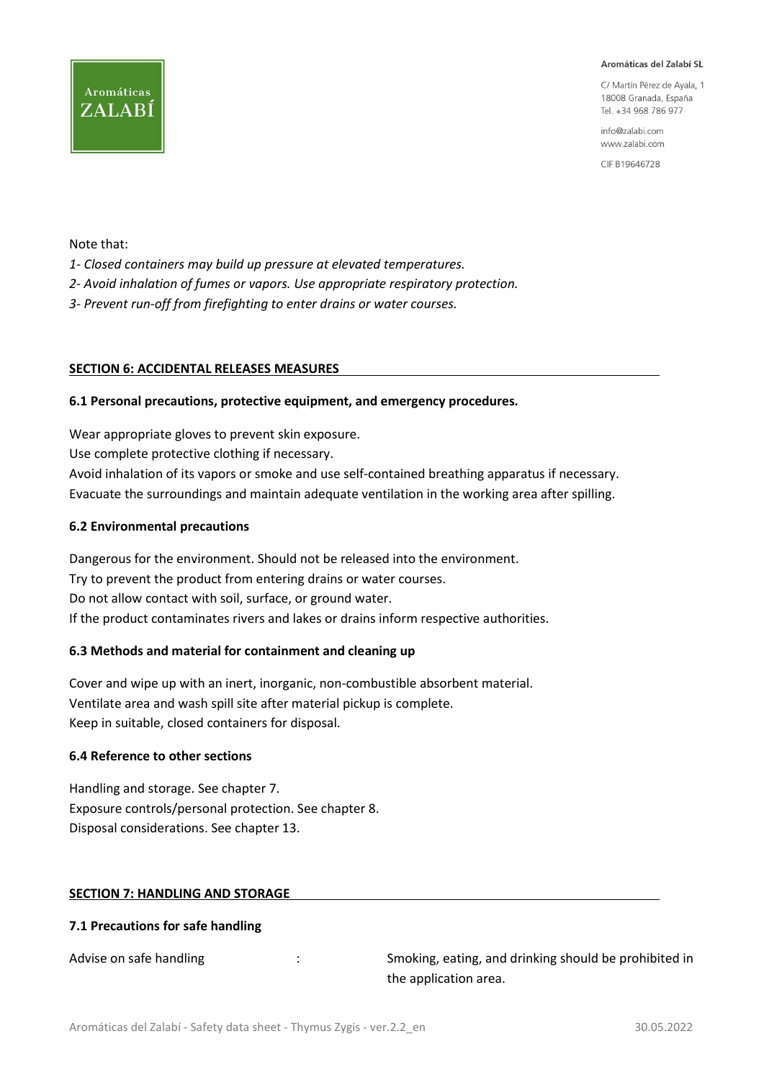C/ Martín Pérez de Avala 1 18008 Granada, España Tel. +34 968 786 977

info@zalabi.com www.zalabi.com

CIF B19646728

Note that:

**Aromáticas** 

ZALABÍ

- 1- Closed containers may build up pressure at elevated temperatures.
- 2- Avoid inhalation of fumes or vapors. Use appropriate respiratory protection.
- 3- Prevent run-off from firefighting to enter drains or water courses.

#### SECTION 6: ACCIDENTAL RELEASES MEASURES

#### 6.1 Personal precautions, protective equipment, and emergency procedures.

Wear appropriate gloves to prevent skin exposure. Use complete protective clothing if necessary. Avoid inhalation of its vapors or smoke and use self-contained breathing apparatus if necessary. Evacuate the surroundings and maintain adequate ventilation in the working area after spilling.

#### 6.2 Environmental precautions

Dangerous for the environment. Should not be released into the environment. Try to prevent the product from entering drains or water courses. Do not allow contact with soil, surface, or ground water. If the product contaminates rivers and lakes or drains inform respective authorities.

#### 6.3 Methods and material for containment and cleaning up

Cover and wipe up with an inert, inorganic, non-combustible absorbent material. Ventilate area and wash spill site after material pickup is complete. Keep in suitable, closed containers for disposal.

#### 6.4 Reference to other sections

Handling and storage. See chapter 7. Exposure controls/personal protection. See chapter 8. Disposal considerations. See chapter 13.

#### SECTION 7: HANDLING AND STORAGE

#### 7.1 Precautions for safe handling

Advise on safe handling  $\cdot$  : Smoking, eating, and drinking should be prohibited in the application area.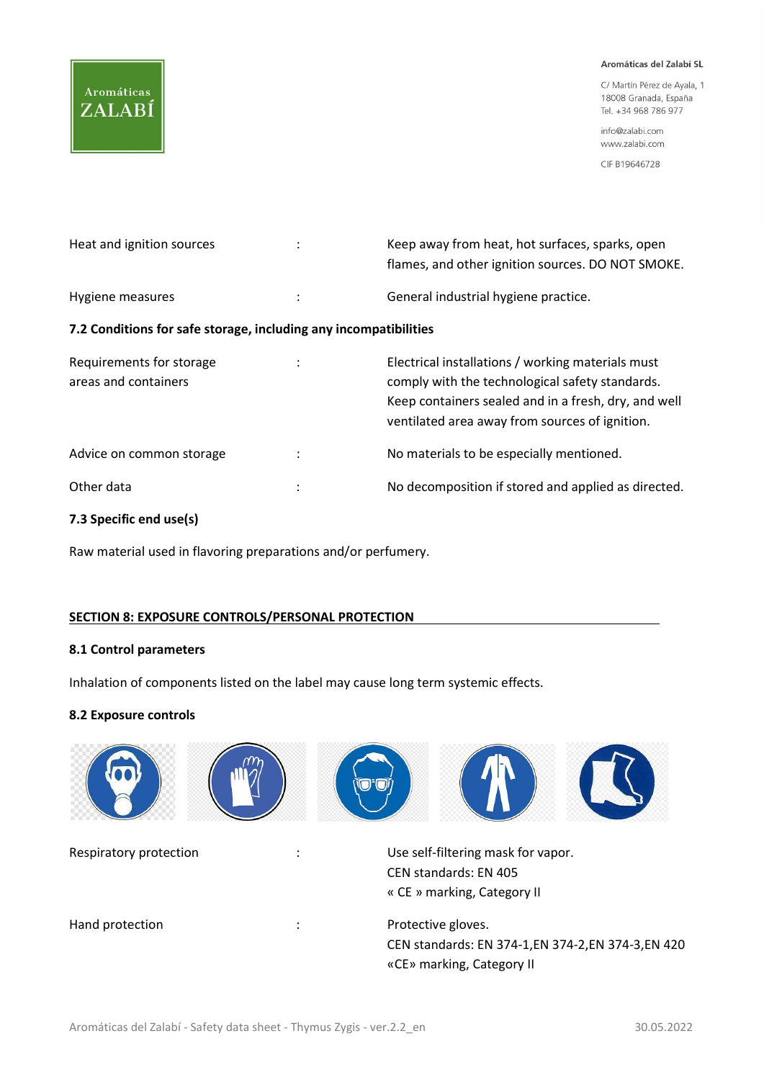#### Aromáticas del Zalabí SL

C/ Martín Pérez de Ayala, 1 18008 Granada, España Tel. +34 968 786 977

info@zalabi.com www.zalabi.com

CIF B19646728

| Heat and ignition sources | Keep away from heat, hot surfaces, sparks, open<br>flames, and other ignition sources. DO NOT SMOKE. |
|---------------------------|------------------------------------------------------------------------------------------------------|
| Hygiene measures          | General industrial hygiene practice.                                                                 |

#### 7.2 Conditions for safe storage, including any incompatibilities

| Requirements for storage<br>areas and containers |   | Electrical installations / working materials must<br>comply with the technological safety standards.<br>Keep containers sealed and in a fresh, dry, and well<br>ventilated area away from sources of ignition. |
|--------------------------------------------------|---|----------------------------------------------------------------------------------------------------------------------------------------------------------------------------------------------------------------|
| Advice on common storage                         | ٠ | No materials to be especially mentioned.                                                                                                                                                                       |
| Other data                                       | ٠ | No decomposition if stored and applied as directed.                                                                                                                                                            |

### 7.3 Specific end use(s)

Raw material used in flavoring preparations and/or perfumery.

#### SECTION 8: EXPOSURE CONTROLS/PERSONAL PROTECTION

#### 8.1 Control parameters

Inhalation of components listed on the label may cause long term systemic effects.

#### 8.2 Exposure controls

| Respiratory protection | Use self-filtering mask for vapor.<br><b>CEN standards: EN 405</b><br>« CE » marking, Category II      |
|------------------------|--------------------------------------------------------------------------------------------------------|
| Hand protection        | Protective gloves.<br>CEN standards: EN 374-1, EN 374-2, EN 374-3, EN 420<br>«CE» marking, Category II |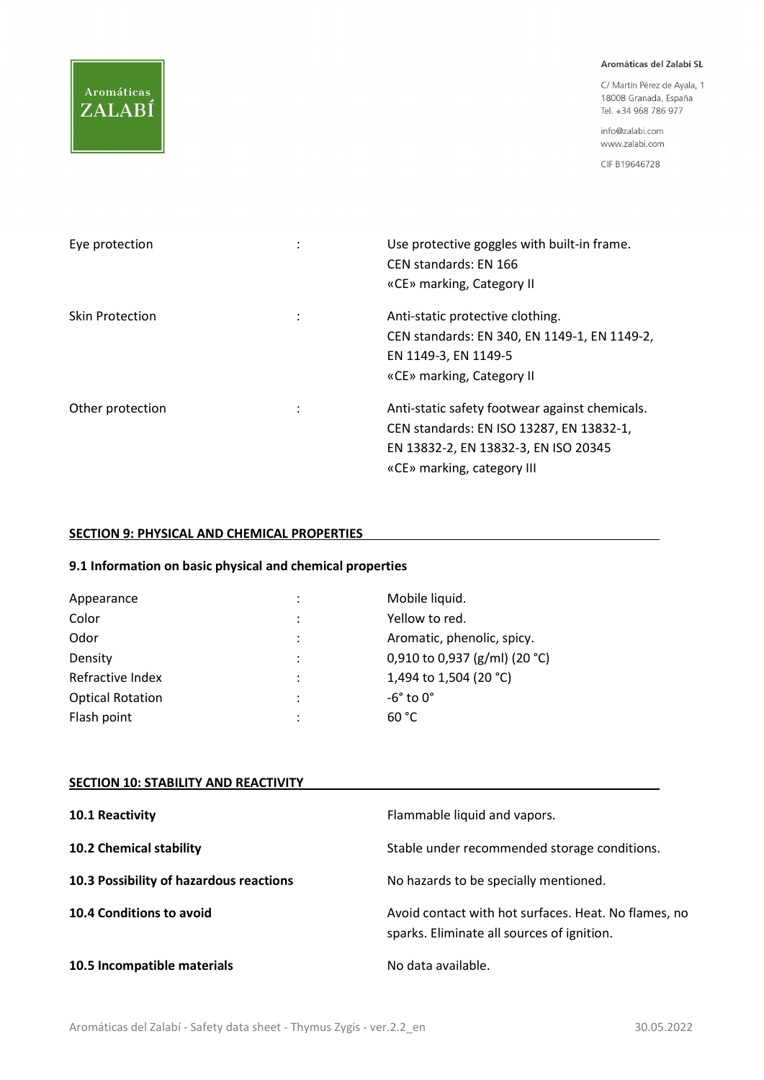#### Aromáticas del Zalabí SL

C/ Martín Pérez de Ayala, 1 18008 Granada, España Tel. +34 968 786 977

info@zalabi.com www.zalabi.com

CIF B19646728

| Eye protection         | $\bullet$            | Use protective goggles with built-in frame.<br>CEN standards: EN 166<br>«CE» marking, Category II                                                                |
|------------------------|----------------------|------------------------------------------------------------------------------------------------------------------------------------------------------------------|
| <b>Skin Protection</b> | $\ddot{\phantom{a}}$ | Anti-static protective clothing.<br>CEN standards: EN 340, EN 1149-1, EN 1149-2,<br>EN 1149-3, EN 1149-5<br>«CE» marking, Category II                            |
| Other protection       | ÷                    | Anti-static safety footwear against chemicals.<br>CEN standards: EN ISO 13287, EN 13832-1,<br>EN 13832-2, EN 13832-3, EN ISO 20345<br>«CE» marking, category III |

#### SECTION 9: PHYSICAL AND CHEMICAL PROPERTIES

#### 9.1 Information on basic physical and chemical properties

| Appearance              | ٠ | Mobile liquid.                |
|-------------------------|---|-------------------------------|
| Color                   | ٠ | Yellow to red.                |
| Odor                    | ٠ | Aromatic, phenolic, spicy.    |
| Density                 | ٠ | 0,910 to 0,937 (g/ml) (20 °C) |
| Refractive Index        | ٠ | 1,494 to 1,504 (20 °C)        |
| <b>Optical Rotation</b> | ٠ | $-6^\circ$ to $0^\circ$       |
| Flash point             | ٠ | 60 °C                         |

#### **SECTION 10: STABILITY AND REACTIVITY**

| 10.1 Reactivity                         | Flammable liquid and vapors.                                                                       |
|-----------------------------------------|----------------------------------------------------------------------------------------------------|
| 10.2 Chemical stability                 | Stable under recommended storage conditions.                                                       |
| 10.3 Possibility of hazardous reactions | No hazards to be specially mentioned.                                                              |
| 10.4 Conditions to avoid                | Avoid contact with hot surfaces. Heat. No flames, no<br>sparks. Eliminate all sources of ignition. |
| 10.5 Incompatible materials             | No data available.                                                                                 |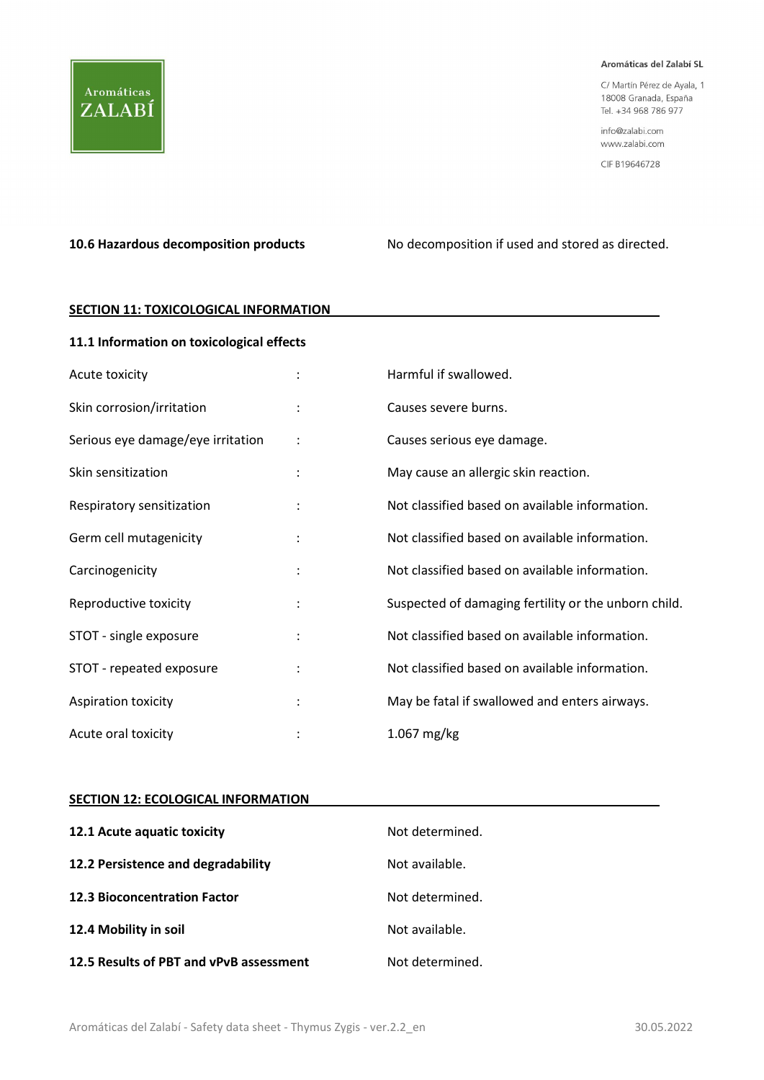

C/ Martín Pérez de Ayala, 1 18008 Granada, España Tel. +34 968 786 977

info@zalabi.com www.zalabi.com

CIF B19646728

10.6 Hazardous decomposition products No decomposition if used and stored as directed.

#### **SECTION 11: TOXICOLOGICAL INFORMATION**

#### 11.1 Information on toxicological effects

| Acute toxicity                    | Harmful if swallowed.                                |
|-----------------------------------|------------------------------------------------------|
| Skin corrosion/irritation         | Causes severe burns.                                 |
| Serious eye damage/eye irritation | Causes serious eye damage.                           |
| Skin sensitization                | May cause an allergic skin reaction.                 |
| Respiratory sensitization         | Not classified based on available information.       |
| Germ cell mutagenicity            | Not classified based on available information.       |
| Carcinogenicity                   | Not classified based on available information.       |
| Reproductive toxicity             | Suspected of damaging fertility or the unborn child. |
| STOT - single exposure            | Not classified based on available information.       |
| STOT - repeated exposure          | Not classified based on available information.       |
| Aspiration toxicity               | May be fatal if swallowed and enters airways.        |
| Acute oral toxicity               | $1.067$ mg/kg                                        |

#### SECTION 12: ECOLOGICAL INFORMATION

| 12.1 Acute aquatic toxicity             | Not determined. |
|-----------------------------------------|-----------------|
| 12.2 Persistence and degradability      | Not available.  |
| <b>12.3 Bioconcentration Factor</b>     | Not determined. |
| 12.4 Mobility in soil                   | Not available.  |
| 12.5 Results of PBT and vPvB assessment | Not determined. |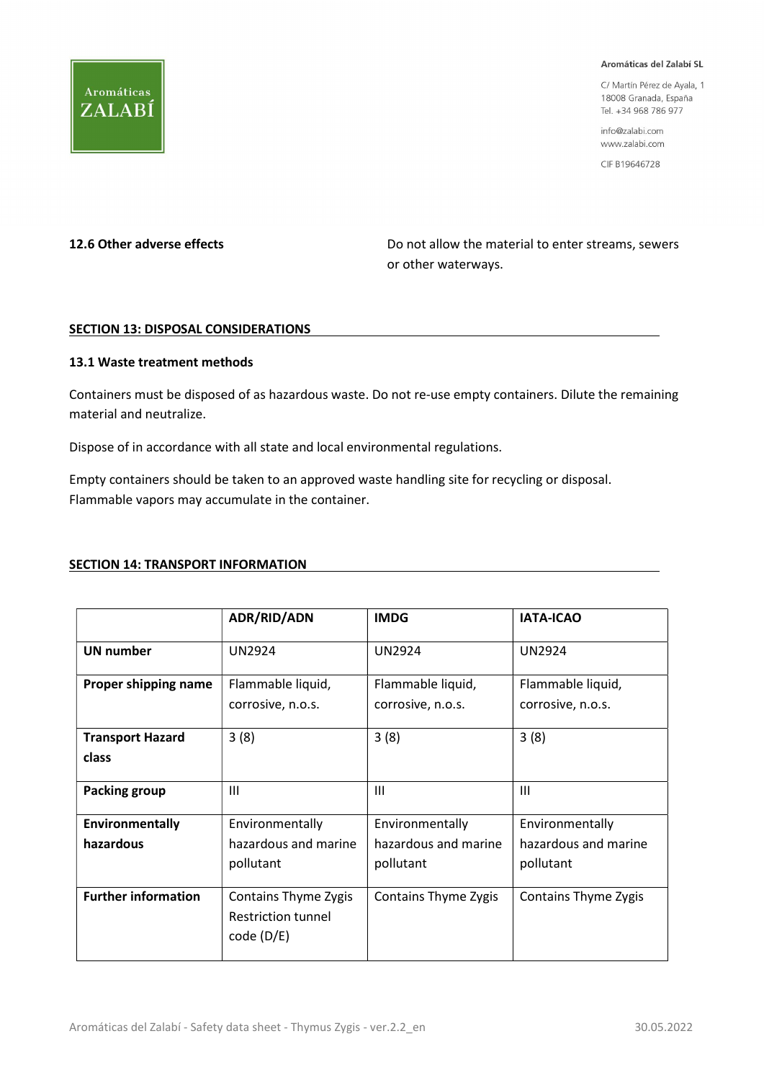

C/ Martín Pérez de Ayala, 1 18008 Granada, España Tel. +34 968 786 977

info@zalabi.com www.zalabi.com

CIF B19646728

**Aromáticas** 

ZALABÍ

12.6 Other adverse effects **Do not allow the material to enter streams**, sewers or other waterways.

#### SECTION 13: DISPOSAL CONSIDERATIONS

#### 13.1 Waste treatment methods

Containers must be disposed of as hazardous waste. Do not re-use empty containers. Dilute the remaining material and neutralize.

Dispose of in accordance with all state and local environmental regulations.

Empty containers should be taken to an approved waste handling site for recycling or disposal. Flammable vapors may accumulate in the container.

#### SECTION 14: TRANSPORT INFORMATION

|                              | <b>ADR/RID/ADN</b>                                                     | <b>IMDG</b>                                          | <b>IATA-ICAO</b>                                     |
|------------------------------|------------------------------------------------------------------------|------------------------------------------------------|------------------------------------------------------|
| <b>UN number</b>             | <b>UN2924</b>                                                          | <b>UN2924</b>                                        | <b>UN2924</b>                                        |
| Proper shipping name         | Flammable liquid,<br>corrosive, n.o.s.                                 | Flammable liquid,<br>corrosive, n.o.s.               | Flammable liquid,<br>corrosive, n.o.s.               |
| <b>Transport Hazard</b>      | 3(8)                                                                   | 3(8)                                                 | 3(8)                                                 |
| class                        |                                                                        |                                                      |                                                      |
| <b>Packing group</b>         | $\mathbf{III}$                                                         | $\mathbf{III}$                                       | $\mathbf{III}$                                       |
| Environmentally<br>hazardous | Environmentally<br>hazardous and marine<br>pollutant                   | Environmentally<br>hazardous and marine<br>pollutant | Environmentally<br>hazardous and marine<br>pollutant |
| <b>Further information</b>   | <b>Contains Thyme Zygis</b><br><b>Restriction tunnel</b><br>code (D/E) | Contains Thyme Zygis                                 | Contains Thyme Zygis                                 |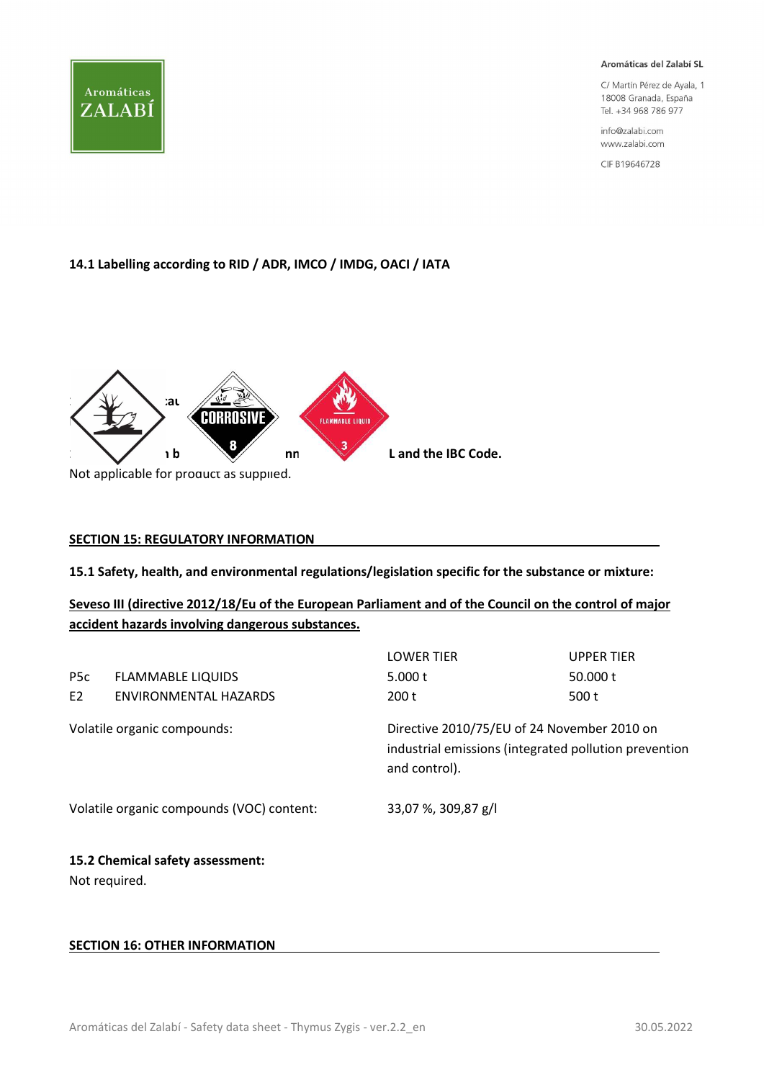

C/ Martín Pérez de Ayala, 1 18008 Granada, España Tel. +34 968 786 977

info@zalabi.com www.zalabi.com

CIF B19646728

#### 14.1 Labelling according to RID / ADR, IMCO / IMDG, OACI / IATA



#### SECTION 15: REGULATORY INFORMATION

15.1 Safety, health, and environmental regulations/legislation specific for the substance or mixture:

### Seveso III (directive 2012/18/Eu of the European Parliament and of the Council on the control of major accident hazards involving dangerous substances.

| <b>LOWER TIER</b>                                                                                                     | <b>UPPER TIER</b> |
|-----------------------------------------------------------------------------------------------------------------------|-------------------|
| 5.000 $t$                                                                                                             | 50,000 t          |
| 200t                                                                                                                  | 500 t             |
| Directive 2010/75/EU of 24 November 2010 on<br>industrial emissions (integrated pollution prevention<br>and control). |                   |
| 33,07 %, 309,87 g/l                                                                                                   |                   |
|                                                                                                                       |                   |
|                                                                                                                       |                   |

#### SECTION 16: OTHER INFORMATION